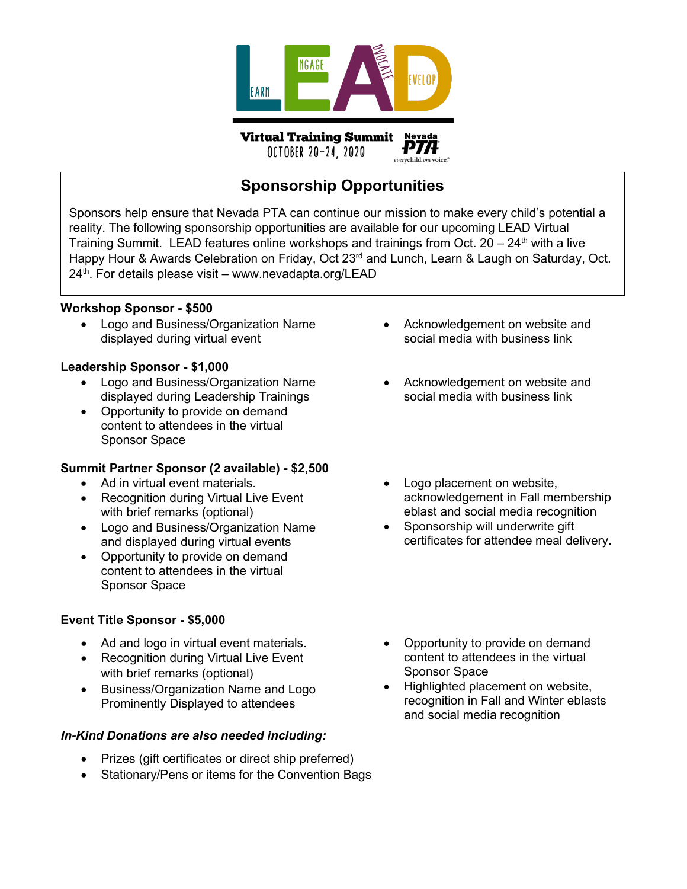

OCTOBER 20-24, 2020

everychild.onevoice.<sup>®</sup>

# **Sponsorship Opportunities**

Sponsors help ensure that Nevada PTA can continue our mission to make every child's potential a reality. The following sponsorship opportunities are available for our upcoming LEAD Virtual Training Summit. LEAD features online workshops and trainings from Oct.  $20 - 24$ <sup>th</sup> with a live Happy Hour & Awards Celebration on Friday, Oct 23<sup>rd</sup> and Lunch, Learn & Laugh on Saturday, Oct.  $24<sup>th</sup>$ . For details please visit – www.nevadapta.org/LEAD

#### **Workshop Sponsor - \$500**

• Logo and Business/Organization Name displayed during virtual event

#### **Leadership Sponsor - \$1,000**

- Logo and Business/Organization Name displayed during Leadership Trainings
- Opportunity to provide on demand content to attendees in the virtual Sponsor Space

## **Summit Partner Sponsor (2 available) - \$2,500**

- Ad in virtual event materials.
- Recognition during Virtual Live Event with brief remarks (optional)
- Logo and Business/Organization Name and displayed during virtual events
- Opportunity to provide on demand content to attendees in the virtual Sponsor Space

## **Event Title Sponsor - \$5,000**

- Ad and logo in virtual event materials.
- Recognition during Virtual Live Event with brief remarks (optional)
- Business/Organization Name and Logo Prominently Displayed to attendees

## *In-Kind Donations are also needed including:*

- Prizes (gift certificates or direct ship preferred)
- Stationary/Pens or items for the Convention Bags
- Acknowledgement on website and social media with business link
- Acknowledgement on website and social media with business link
- Logo placement on website, acknowledgement in Fall membership eblast and social media recognition
- Sponsorship will underwrite gift certificates for attendee meal delivery.
- Opportunity to provide on demand content to attendees in the virtual Sponsor Space
- Highlighted placement on website, recognition in Fall and Winter eblasts and social media recognition